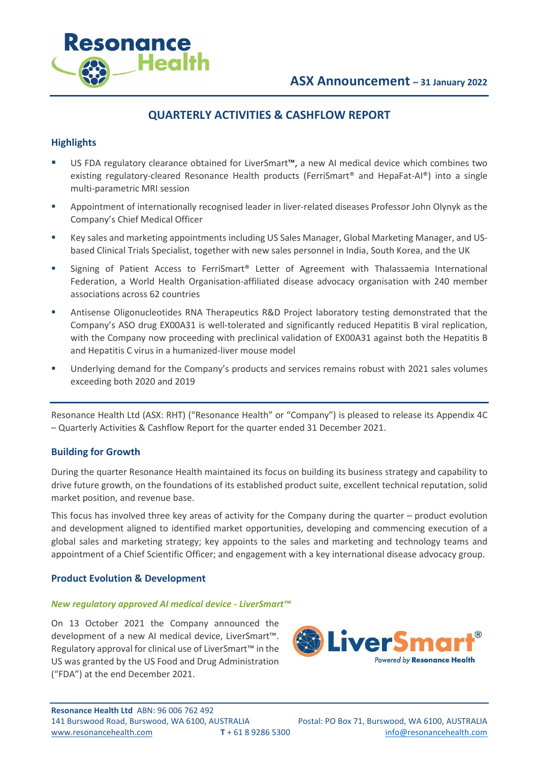

# **QUARTERLY ACTIVITIES & CASHFLOW REPORT**

# **Highlights**

Resonance

Health

- US FDA regulatory clearance obtained for LiverSmart™, a new AI medical device which combines two existing regulatory-cleared Resonance Health products (FerriSmart® and HepaFat-AI®) into a single multi-parametric MRI session
- Appointment of internationally recognised leader in liver-related diseases Professor John Olynyk as the Company's Chief Medical Officer
- Key sales and marketing appointments including US Sales Manager, Global Marketing Manager, and USbased Clinical Trials Specialist, together with new sales personnel in India, South Korea, and the UK
- Signing of Patient Access to FerriSmart<sup>®</sup> Letter of Agreement with Thalassaemia International Federation, a World Health Organisation-affiliated disease advocacy organisation with 240 member associations across 62 countries
- Antisense Oligonucleotides RNA Therapeutics R&D Project laboratory testing demonstrated that the Company's ASO drug EX00A31 is well-tolerated and significantly reduced Hepatitis B viral replication, with the Company now proceeding with preclinical validation of EX00A31 against both the Hepatitis B and Hepatitis C virus in a humanized-liver mouse model
- Underlying demand for the Company's products and services remains robust with 2021 sales volumes exceeding both 2020 and 2019

Resonance Health Ltd (ASX: RHT) ("Resonance Health" or "Company") is pleased to release its Appendix 4C – Quarterly Activities & Cashflow Report for the quarter ended 31 December 2021.

# **Building for Growth**

During the quarter Resonance Health maintained its focus on building its business strategy and capability to drive future growth, on the foundations of its established product suite, excellent technical reputation, solid market position, and revenue base.

This focus has involved three key areas of activity for the Company during the quarter – product evolution and development aligned to identified market opportunities, developing and commencing execution of a global sales and marketing strategy; key appoints to the sales and marketing and technology teams and appointment of a Chief Scientific Officer; and engagement with a key international disease advocacy group.

#### **Product Evolution & Development**

#### *New regulatory approved AI medical device - LiverSmart™*

On 13 October 2021 the Company announced the development of a new AI medical device, LiverSmart™. Regulatory approval for clinical use of LiverSmart™ in the US was granted by the US Food and Drug Administration ("FDA") at the end December 2021.

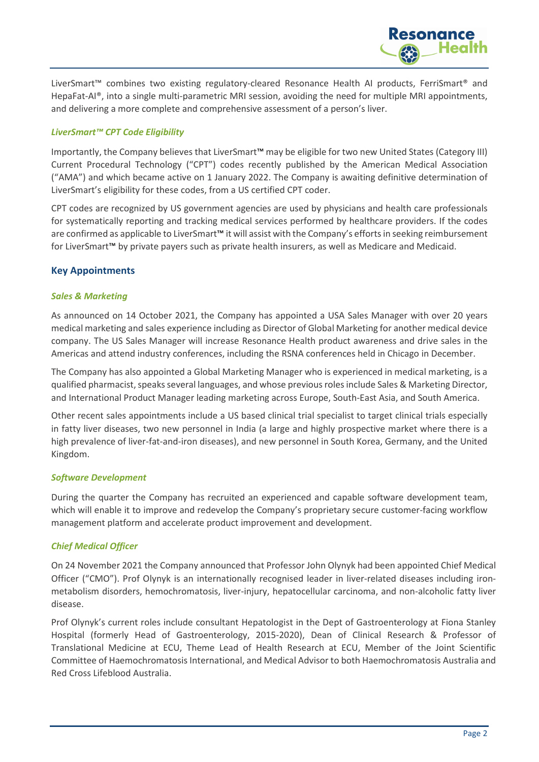

Resonance

#### *LiverSmart™ CPT Code Eligibility*

Importantly, the Company believes that LiverSmart™ may be eligible for two new United States (Category III) Current Procedural Technology ("CPT") codes recently published by the American Medical Association ("AMA") and which became active on 1 January 2022. The Company is awaiting definitive determination of LiverSmart's eligibility for these codes, from a US certified CPT coder.

CPT codes are recognized by US government agencies are used by physicians and health care professionals for systematically reporting and tracking medical services performed by healthcare providers. If the codes are confirmed as applicable to LiverSmart™ it will assist with the Company's effortsin seeking reimbursement for LiverSmart™ by private payers such as private health insurers, as well as Medicare and Medicaid.

# **Key Appointments**

#### *Sales & Marketing*

As announced on 14 October 2021, the Company has appointed a USA Sales Manager with over 20 years medical marketing and sales experience including as Director of Global Marketing for another medical device company. The US Sales Manager will increase Resonance Health product awareness and drive sales in the Americas and attend industry conferences, including the RSNA conferences held in Chicago in December.

The Company has also appointed a Global Marketing Manager who is experienced in medical marketing, is a qualified pharmacist, speaks several languages, and whose previous roles include Sales & Marketing Director, and International Product Manager leading marketing across Europe, South-East Asia, and South America.

Other recent sales appointments include a US based clinical trial specialist to target clinical trials especially in fatty liver diseases, two new personnel in India (a large and highly prospective market where there is a high prevalence of liver-fat-and-iron diseases), and new personnel in South Korea, Germany, and the United Kingdom.

#### *Software Development*

During the quarter the Company has recruited an experienced and capable software development team, which will enable it to improve and redevelop the Company's proprietary secure customer-facing workflow management platform and accelerate product improvement and development.

#### *Chief Medical Officer*

On 24 November 2021 the Company announced that Professor John Olynyk had been appointed Chief Medical Officer ("CMO"). Prof Olynyk is an internationally recognised leader in liver-related diseases including ironmetabolism disorders, hemochromatosis, liver-injury, hepatocellular carcinoma, and non-alcoholic fatty liver disease.

Prof Olynyk's current roles include consultant Hepatologist in the Dept of Gastroenterology at Fiona Stanley Hospital (formerly Head of Gastroenterology, 2015-2020), Dean of Clinical Research & Professor of Translational Medicine at ECU, Theme Lead of Health Research at ECU, Member of the Joint Scientific Committee of Haemochromatosis International, and Medical Advisor to both Haemochromatosis Australia and Red Cross Lifeblood Australia.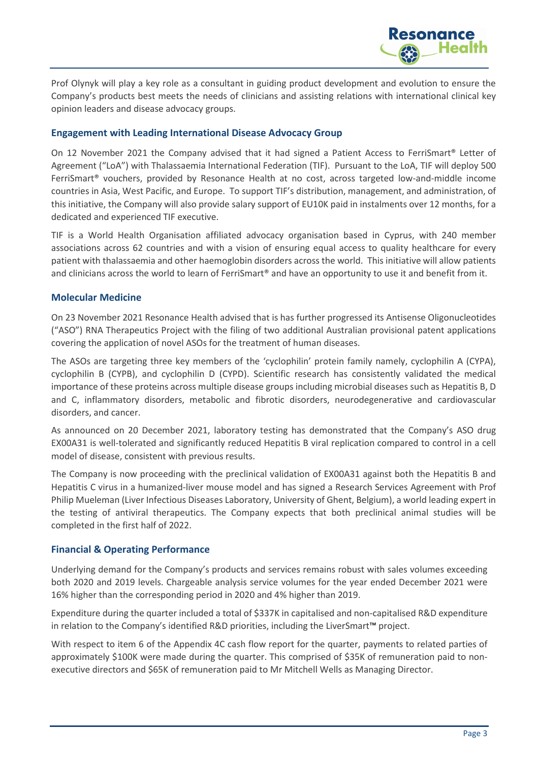

Prof Olynyk will play a key role as a consultant in guiding product development and evolution to ensure the Company's products best meets the needs of clinicians and assisting relations with international clinical key opinion leaders and disease advocacy groups.

## **Engagement with Leading International Disease Advocacy Group**

On 12 November 2021 the Company advised that it had signed a Patient Access to FerriSmart® Letter of Agreement ("LoA") with Thalassaemia International Federation (TIF). Pursuant to the LoA, TIF will deploy 500 FerriSmart® vouchers, provided by Resonance Health at no cost, across targeted low-and-middle income countries in Asia, West Pacific, and Europe. To support TIF's distribution, management, and administration, of this initiative, the Company will also provide salary support of EU10K paid in instalments over 12 months, for a dedicated and experienced TIF executive.

TIF is a World Health Organisation affiliated advocacy organisation based in Cyprus, with 240 member associations across 62 countries and with a vision of ensuring equal access to quality healthcare for every patient with thalassaemia and other haemoglobin disorders across the world. This initiative will allow patients and clinicians across the world to learn of FerriSmart<sup>®</sup> and have an opportunity to use it and benefit from it.

#### **Molecular Medicine**

On 23 November 2021 Resonance Health advised that is has further progressed its Antisense Oligonucleotides ("ASO") RNA Therapeutics Project with the filing of two additional Australian provisional patent applications covering the application of novel ASOs for the treatment of human diseases.

The ASOs are targeting three key members of the 'cyclophilin' protein family namely, cyclophilin A (CYPA), cyclophilin B (CYPB), and cyclophilin D (CYPD). Scientific research has consistently validated the medical importance of these proteins across multiple disease groups including microbial diseases such as Hepatitis B, D and C, inflammatory disorders, metabolic and fibrotic disorders, neurodegenerative and cardiovascular disorders, and cancer.

As announced on 20 December 2021, laboratory testing has demonstrated that the Company's ASO drug EX00A31 is well-tolerated and significantly reduced Hepatitis B viral replication compared to control in a cell model of disease, consistent with previous results.

The Company is now proceeding with the preclinical validation of EX00A31 against both the Hepatitis B and Hepatitis C virus in a humanized-liver mouse model and has signed a Research Services Agreement with Prof Philip Mueleman (Liver Infectious Diseases Laboratory, University of Ghent, Belgium), a world leading expert in the testing of antiviral therapeutics. The Company expects that both preclinical animal studies will be completed in the first half of 2022.

# **Financial & Operating Performance**

Underlying demand for the Company's products and services remains robust with sales volumes exceeding both 2020 and 2019 levels. Chargeable analysis service volumes for the year ended December 2021 were 16% higher than the corresponding period in 2020 and 4% higher than 2019.

Expenditure during the quarter included a total of \$337K in capitalised and non-capitalised R&D expenditure in relation to the Company's identified R&D priorities, including the LiverSmart™ project.

With respect to item 6 of the Appendix 4C cash flow report for the quarter, payments to related parties of approximately \$100K were made during the quarter. This comprised of \$35K of remuneration paid to nonexecutive directors and \$65K of remuneration paid to Mr Mitchell Wells as Managing Director.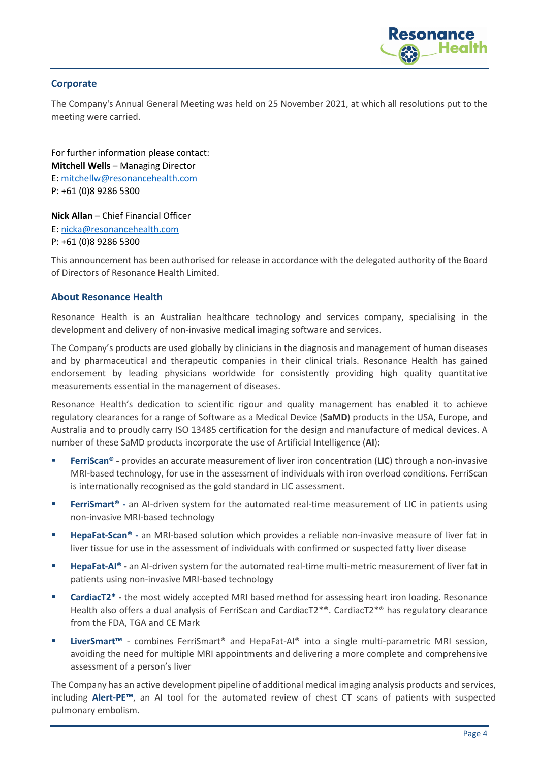

# **Corporate**

The Company's Annual General Meeting was held on 25 November 2021, at which all resolutions put to the meeting were carried.

For further information please contact: **Mitchell Wells** – Managing Director E: [mitchellw@resonancehealth.com](mailto:mitchellw@resonancehealth.com) P: +61 (0)8 9286 5300

**Nick Allan** – Chief Financial Officer E: [nicka@resonancehealth.com](mailto:nicka@resonancehealth.com)

P: +61 (0)8 9286 5300

This announcement has been authorised for release in accordance with the delegated authority of the Board of Directors of Resonance Health Limited.

# **About Resonance Health**

Resonance Health is an Australian healthcare technology and services company, specialising in the development and delivery of non-invasive medical imaging software and services.

The Company's products are used globally by clinicians in the diagnosis and management of human diseases and by pharmaceutical and therapeutic companies in their clinical trials. Resonance Health has gained endorsement by leading physicians worldwide for consistently providing high quality quantitative measurements essential in the management of diseases.

Resonance Health's dedication to scientific rigour and quality management has enabled it to achieve regulatory clearances for a range of Software as a Medical Device (**SaMD**) products in the USA, Europe, and Australia and to proudly carry ISO 13485 certification for the design and manufacture of medical devices. A number of these SaMD products incorporate the use of Artificial Intelligence (**AI**):

- **FerriScan<sup>®</sup> -** provides an accurate measurement of liver iron concentration (LIC) through a non-invasive MRI-based technology, for use in the assessment of individuals with iron overload conditions. FerriScan is internationally recognised as the gold standard in LIC assessment.
- **FerriSmart<sup>®</sup>** an AI-driven system for the automated real-time measurement of LIC in patients using non-invasive MRI-based technology
- **HepaFat-Scan®** an MRI-based solution which provides a reliable non-invasive measure of liver fat in liver tissue for use in the assessment of individuals with confirmed or suspected fatty liver disease
- **HepaFat-AI® -** an AI-driven system for the automated real-time multi-metric measurement of liver fat in patients using non-invasive MRI-based technology
- **CardiacT2\* -** the most widely accepted MRI based method for assessing heart iron loading. Resonance Health also offers a dual analysis of FerriScan and CardiacT2<sup>\*®</sup>. CardiacT2<sup>\*®</sup> has regulatory clearance from the FDA, TGA and CE Mark
- **LiverSmart™** combines FerriSmart® and HepaFat-AI® into a single multi-parametric MRI session, avoiding the need for multiple MRI appointments and delivering a more complete and comprehensive assessment of a person's liver

The Company has an active development pipeline of additional medical imaging analysis products and services, including **Alert-PE™**, an AI tool for the automated review of chest CT scans of patients with suspected pulmonary embolism.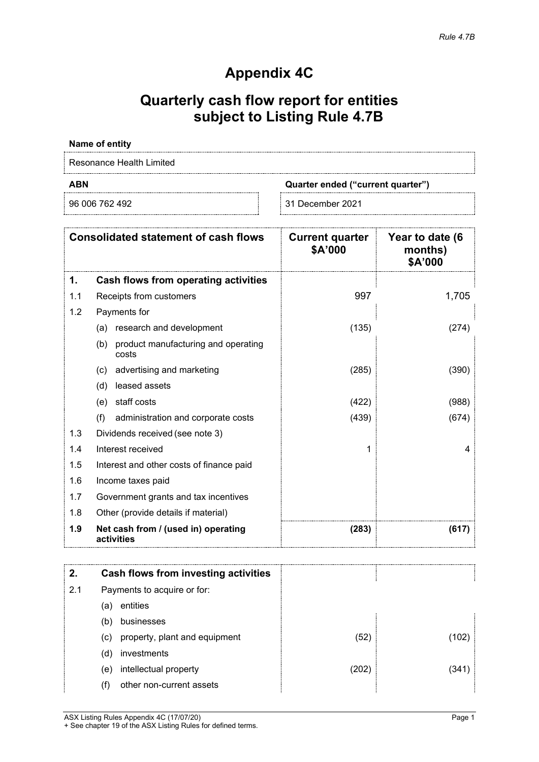# **Appendix 4C**

# **Quarterly cash flow report for entities subject to Listing Rule 4.7B**

## **Name of entity**

Resonance Health Limited

**ABN Quarter ended ("current quarter")**

96 006 762 492 31 December 2021

| <b>Consolidated statement of cash flows</b> |                                                     | <b>Current quarter</b><br>\$A'000 | Year to date (6<br>months)<br>\$A'000 |
|---------------------------------------------|-----------------------------------------------------|-----------------------------------|---------------------------------------|
| 1.                                          | Cash flows from operating activities                |                                   |                                       |
| 1.1                                         | Receipts from customers                             | 997                               | 1,705                                 |
| 1.2                                         | Payments for                                        |                                   |                                       |
|                                             | research and development<br>(a)                     | (135)                             | (274)                                 |
|                                             | product manufacturing and operating<br>(b)<br>costs |                                   |                                       |
|                                             | advertising and marketing<br>(C)                    | (285)                             | (390)                                 |
|                                             | leased assets<br>(d)                                |                                   |                                       |
|                                             | staff costs<br>(e)                                  | (422)                             | (988)                                 |
|                                             | (f)<br>administration and corporate costs           | (439)                             | (674)                                 |
| 1.3                                         | Dividends received (see note 3)                     |                                   |                                       |
| 1.4                                         | Interest received                                   |                                   | 4                                     |
| 1.5                                         | Interest and other costs of finance paid            |                                   |                                       |
| 1.6                                         | Income taxes paid                                   |                                   |                                       |
| 1.7                                         | Government grants and tax incentives                |                                   |                                       |
| 1.8                                         | Other (provide details if material)                 |                                   |                                       |
| 1.9                                         | Net cash from / (used in) operating<br>activities   | (283)                             | (617)                                 |

| 2.  | Cash flows from investing activities |      |      |
|-----|--------------------------------------|------|------|
| 2.1 | Payments to acquire or for:          |      |      |
|     | entities<br>(a)                      |      |      |
|     | businesses<br>(b)                    |      |      |
|     | property, plant and equipment<br>(C) | (52) | 102  |
|     | investments<br>(d)                   |      |      |
|     | intellectual property<br>(e)         | 202) | 1341 |
|     | other non-current assets             |      |      |

ASX Listing Rules Appendix 4C (17/07/20) Page 1 + See chapter 19 of the ASX Listing Rules for defined terms.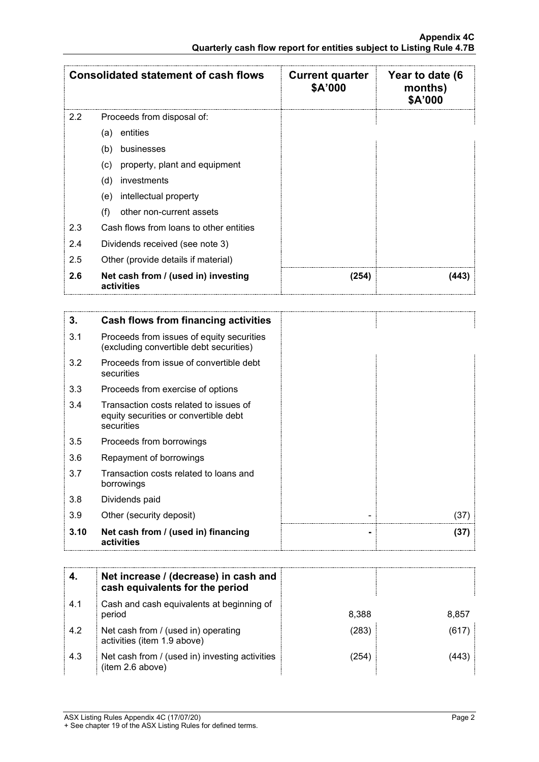| <b>Consolidated statement of cash flows</b> |                                                   | <b>Current quarter</b><br>\$A'000 | Year to date (6<br>months)<br>\$A'000 |
|---------------------------------------------|---------------------------------------------------|-----------------------------------|---------------------------------------|
| 2.2                                         | Proceeds from disposal of:                        |                                   |                                       |
|                                             | entities<br>(a)                                   |                                   |                                       |
|                                             | (b)<br>businesses                                 |                                   |                                       |
|                                             | property, plant and equipment<br>(c)              |                                   |                                       |
|                                             | investments<br>(d)                                |                                   |                                       |
|                                             | intellectual property<br>(e)                      |                                   |                                       |
|                                             | other non-current assets<br>(f)                   |                                   |                                       |
| 2.3                                         | Cash flows from loans to other entities           |                                   |                                       |
| 2.4                                         | Dividends received (see note 3)                   |                                   |                                       |
| 2.5                                         | Other (provide details if material)               |                                   |                                       |
| 2.6                                         | Net cash from / (used in) investing<br>activities | (254)                             | 443                                   |

| 3.   | Cash flows from financing activities                                                          |      |
|------|-----------------------------------------------------------------------------------------------|------|
| 3.1  | Proceeds from issues of equity securities<br>(excluding convertible debt securities)          |      |
| 3.2  | Proceeds from issue of convertible debt<br>securities                                         |      |
| 3.3  | Proceeds from exercise of options                                                             |      |
| 3.4  | Transaction costs related to issues of<br>equity securities or convertible debt<br>securities |      |
| 3.5  | Proceeds from borrowings                                                                      |      |
| 3.6  | Repayment of borrowings                                                                       |      |
| 3.7  | Transaction costs related to loans and<br>borrowings                                          |      |
| 3.8  | Dividends paid                                                                                |      |
| 3.9  | Other (security deposit)                                                                      | (37) |
| 3.10 | Net cash from / (used in) financing<br>activities                                             | (37) |

|     | Net increase / (decrease) in cash and<br>cash equivalents for the period |       |       |
|-----|--------------------------------------------------------------------------|-------|-------|
| 4.1 | Cash and cash equivalents at beginning of<br>period                      | 8.388 | 8,857 |
| 4.2 | Net cash from / (used in) operating<br>activities (item 1.9 above)       | (283  | (617) |
| 4.3 | Net cash from / (used in) investing activities<br>(item 2.6 above)       | 254)  |       |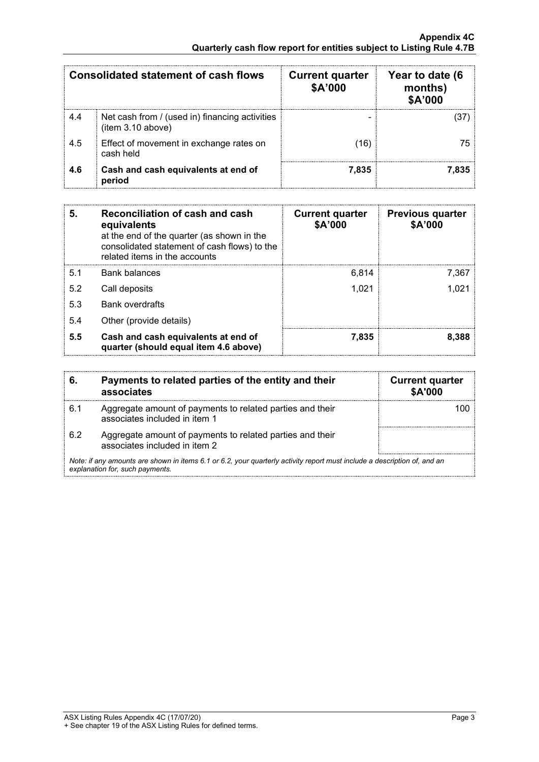| Consolidated statement of cash flows |                                                                     | <b>Current quarter</b><br>\$A'000 | Year to date (6<br>months)<br><b>\$A'000</b> |
|--------------------------------------|---------------------------------------------------------------------|-----------------------------------|----------------------------------------------|
| 4.4                                  | Net cash from / (used in) financing activities<br>(item 3.10 above) |                                   |                                              |
| 4.5                                  | Effect of movement in exchange rates on<br>cash held                | (16)                              | 75.                                          |
| 4.6                                  | Cash and cash equivalents at end of<br>period                       | 7.835                             | 7.835                                        |

| 5.  | Reconciliation of cash and cash<br>equivalents<br>at the end of the quarter (as shown in the<br>consolidated statement of cash flows) to the<br>related items in the accounts | <b>Current quarter</b><br>\$A'000 | <b>Previous quarter</b><br>\$A'000 |
|-----|-------------------------------------------------------------------------------------------------------------------------------------------------------------------------------|-----------------------------------|------------------------------------|
| 5.1 | Bank balances                                                                                                                                                                 | 6.814                             | 7.367                              |
| 5.2 | Call deposits                                                                                                                                                                 | 1.021                             |                                    |
| 5.3 | <b>Bank overdrafts</b>                                                                                                                                                        |                                   |                                    |
| 5.4 | Other (provide details)                                                                                                                                                       |                                   |                                    |
| 5.5 | Cash and cash equivalents at end of<br>quarter (should equal item 4.6 above)                                                                                                  | 7.835                             | 8.388                              |

|                                                                                                                                                             | Payments to related parties of the entity and their<br>associates                          | <b>Current quarter</b><br><b>\$A'000</b> |
|-------------------------------------------------------------------------------------------------------------------------------------------------------------|--------------------------------------------------------------------------------------------|------------------------------------------|
| 6.1                                                                                                                                                         | Aggregate amount of payments to related parties and their<br>associates included in item 1 |                                          |
| 6.2                                                                                                                                                         | Aggregate amount of payments to related parties and their<br>associates included in item 2 |                                          |
| Note: if any amounts are shown in items 6.1 or 6.2, your quarterly activity report must include a description of, and an<br>explanation for, such payments. |                                                                                            |                                          |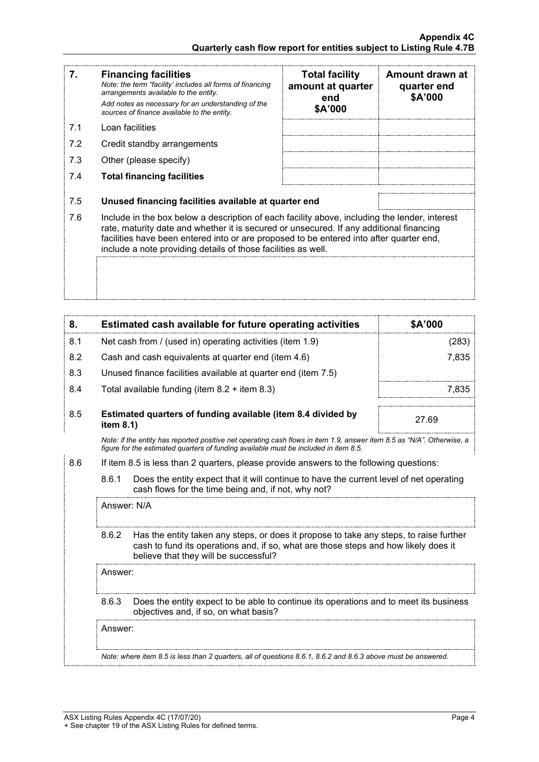| 7.  | <b>Financing facilities</b><br>Note: the term "facility' includes all forms of financing<br>arrangements available to the entity.<br>Add notes as necessary for an understanding of the<br>sources of finance available to the entity.                                                                                                               | <b>Total facility</b><br>amount at quarter<br>end<br>\$A'000 | Amount drawn at<br>quarter end<br>\$A'000 |
|-----|------------------------------------------------------------------------------------------------------------------------------------------------------------------------------------------------------------------------------------------------------------------------------------------------------------------------------------------------------|--------------------------------------------------------------|-------------------------------------------|
| 7.1 | Loan facilities                                                                                                                                                                                                                                                                                                                                      |                                                              |                                           |
| 7.2 | Credit standby arrangements                                                                                                                                                                                                                                                                                                                          |                                                              |                                           |
| 7.3 | Other (please specify)                                                                                                                                                                                                                                                                                                                               |                                                              |                                           |
| 7.4 | <b>Total financing facilities</b>                                                                                                                                                                                                                                                                                                                    |                                                              |                                           |
| 7.5 | Unused financing facilities available at quarter end                                                                                                                                                                                                                                                                                                 |                                                              |                                           |
| 7.6 | Include in the box below a description of each facility above, including the lender, interest<br>rate, maturity date and whether it is secured or unsecured. If any additional financing<br>facilities have been entered into or are proposed to be entered into after quarter end,<br>include a note providing details of those facilities as well. |                                                              |                                           |
|     |                                                                                                                                                                                                                                                                                                                                                      |                                                              |                                           |

| 8.  |                                                                                                                                                         | Estimated cash available for future operating activities                                                                                                                                                               | \$A'000 |  |
|-----|---------------------------------------------------------------------------------------------------------------------------------------------------------|------------------------------------------------------------------------------------------------------------------------------------------------------------------------------------------------------------------------|---------|--|
| 8.1 |                                                                                                                                                         | Net cash from / (used in) operating activities (item 1.9)                                                                                                                                                              | (283)   |  |
| 8.2 |                                                                                                                                                         | Cash and cash equivalents at quarter end (item 4.6)                                                                                                                                                                    | 7,835   |  |
| 8.3 |                                                                                                                                                         | Unused finance facilities available at quarter end (item 7.5)                                                                                                                                                          |         |  |
| 8.4 |                                                                                                                                                         | Total available funding (item $8.2 +$ item $8.3$ )                                                                                                                                                                     | 7,835   |  |
| 8.5 | Estimated quarters of funding available (item 8.4 divided by<br>item 8.1)                                                                               |                                                                                                                                                                                                                        | 27.69   |  |
|     |                                                                                                                                                         | Note: if the entity has reported positive net operating cash flows in item 1.9, answer item 8.5 as "N/A". Otherwise, a<br>figure for the estimated quarters of funding available must be included in item 8.5.         |         |  |
| 8.6 |                                                                                                                                                         | If item 8.5 is less than 2 quarters, please provide answers to the following questions:                                                                                                                                |         |  |
|     | 8.6.1<br>Does the entity expect that it will continue to have the current level of net operating<br>cash flows for the time being and, if not, why not? |                                                                                                                                                                                                                        |         |  |
|     | Answer: N/A                                                                                                                                             |                                                                                                                                                                                                                        |         |  |
|     | 8.6.2                                                                                                                                                   | Has the entity taken any steps, or does it propose to take any steps, to raise further<br>cash to fund its operations and, if so, what are those steps and how likely does it<br>believe that they will be successful? |         |  |
|     | Answer:                                                                                                                                                 |                                                                                                                                                                                                                        |         |  |
|     | Does the entity expect to be able to continue its operations and to meet its business<br>8.6.3<br>objectives and, if so, on what basis?                 |                                                                                                                                                                                                                        |         |  |
|     | Answer:                                                                                                                                                 |                                                                                                                                                                                                                        |         |  |
|     |                                                                                                                                                         | Note: where item 8.5 is less than 2 quarters, all of questions 8.6.1, 8.6.2 and 8.6.3 above must be answered.                                                                                                          |         |  |